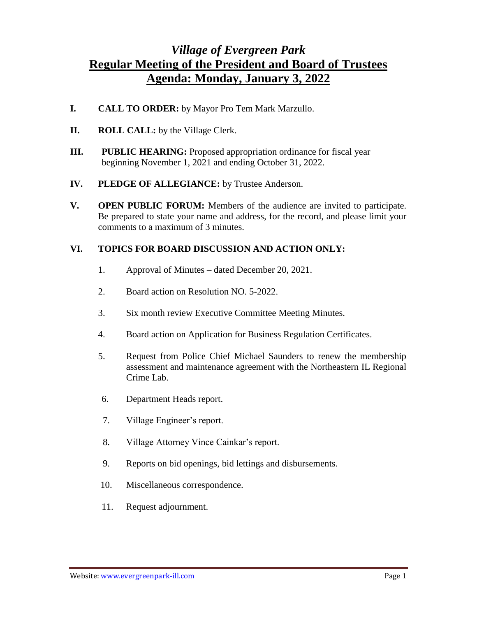## *Village of Evergreen Park* **Regular Meeting of the President and Board of Trustees Agenda: Monday, January 3, 2022**

- **I. CALL TO ORDER:** by Mayor Pro Tem Mark Marzullo.
- **II. ROLL CALL:** by the Village Clerk.
- **III. PUBLIC HEARING:** Proposed appropriation ordinance for fiscal year beginning November 1, 2021 and ending October 31, 2022.
- **IV. PLEDGE OF ALLEGIANCE:** by Trustee Anderson.
- **V. OPEN PUBLIC FORUM:** Members of the audience are invited to participate. Be prepared to state your name and address, for the record, and please limit your comments to a maximum of 3 minutes.

## **VI. TOPICS FOR BOARD DISCUSSION AND ACTION ONLY:**

- 1. Approval of Minutes dated December 20, 2021.
- 2. Board action on Resolution NO. 5-2022.
- 3. Six month review Executive Committee Meeting Minutes.
- 4. Board action on Application for Business Regulation Certificates.
- 5. Request from Police Chief Michael Saunders to renew the membership assessment and maintenance agreement with the Northeastern IL Regional Crime Lab.
- 6. Department Heads report.
- 7. Village Engineer's report.
- 8. Village Attorney Vince Cainkar's report.
- 9. Reports on bid openings, bid lettings and disbursements.
- 10. Miscellaneous correspondence.
- 11. Request adjournment.